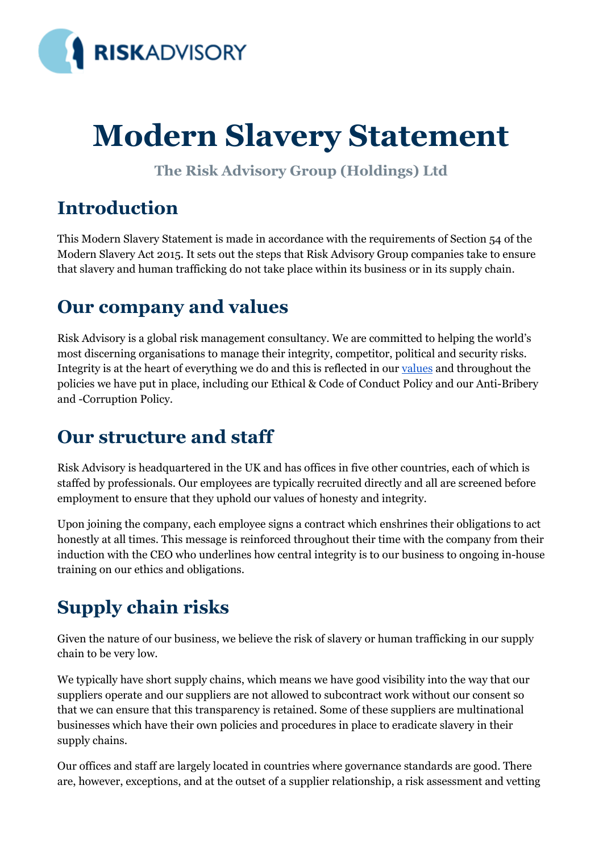

# **Modern Slavery Statement**

**The Risk Advisory Group (Holdings) Ltd**

## **Introduction**

This Modern Slavery Statement is made in accordance with the requirements of Section 54 of the Modern Slavery Act 2015. It sets out the steps that Risk Advisory Group companies take to ensure that slavery and human trafficking do not take place within its business or in its supply chain.

#### **Our company and values**

Risk Advisory is a global risk management consultancy. We are committed to helping the world's most discerning organisations to manage their integrity, competitor, political and security risks. Integrity is at the heart of everything we do and this is reflected in our [values](https://www.riskadvisory.com/who-we-are/our-values/) and throughout the policies we have put in place, including our Ethical & Code of Conduct Policy and our Anti-Bribery and -Corruption Policy.

#### **Our structure and staff**

Risk Advisory is headquartered in the UK and has offices in five other countries, each of which is staffed by professionals. Our employees are typically recruited directly and all are screened before employment to ensure that they uphold our values of honesty and integrity.

Upon joining the company, each employee signs a contract which enshrines their obligations to act honestly at all times. This message is reinforced throughout their time with the company from their induction with the CEO who underlines how central integrity is to our business to ongoing in-house training on our ethics and obligations.

# **Supply chain risks**

Given the nature of our business, we believe the risk of slavery or human trafficking in our supply chain to be very low.

We typically have short supply chains, which means we have good visibility into the way that our suppliers operate and our suppliers are not allowed to subcontract work without our consent so that we can ensure that this transparency is retained. Some of these suppliers are multinational businesses which have their own policies and procedures in place to eradicate slavery in their supply chains.

Our offices and staff are largely located in countries where governance standards are good. There are, however, exceptions, and at the outset of a supplier relationship, a risk assessment and vetting